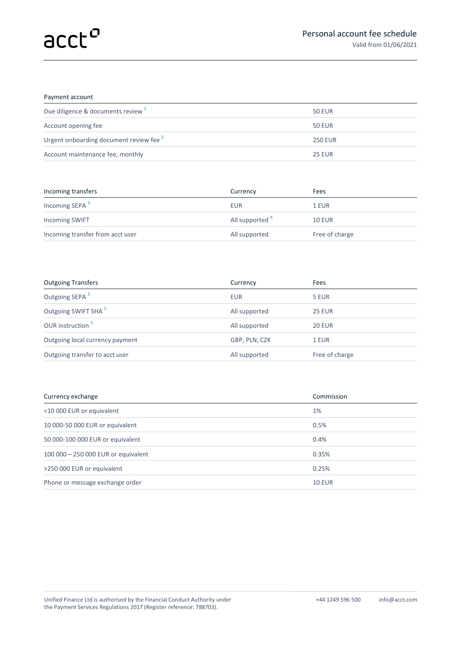## Payment account

| Due diligence & documents review <sup>1</sup>      | <b>50 EUR</b>  |
|----------------------------------------------------|----------------|
| Account opening fee                                | <b>50 EUR</b>  |
| Urgent onboarding document review fee <sup>2</sup> | <b>250 EUR</b> |
| Account maintenance fee, monthly                   | <b>25 EUR</b>  |
|                                                    |                |

| Incoming transfers               | Currency        | Fees           |
|----------------------------------|-----------------|----------------|
| Incoming SEPA <sup>3</sup>       | <b>EUR</b>      | 1 EUR          |
| <b>Incoming SWIFT</b>            | All supported 4 | <b>10 EUR</b>  |
| Incoming transfer from acct user | All supported   | Free of charge |

| <b>Outgoing Transfers</b>       | Currency      | Fees           |
|---------------------------------|---------------|----------------|
| Outgoing SEPA <sup>3</sup>      | <b>EUR</b>    | 5 EUR          |
| Outgoing SWIFT SHA <sup>5</sup> | All supported | <b>25 EUR</b>  |
| OUR instruction <sup>5</sup>    | All supported | <b>20 EUR</b>  |
| Outgoing local currency payment | GBP, PLN, CZK | 1 EUR          |
| Outgoing transfer to acct user  | All supported | Free of charge |

| Currency exchange                   | Commission    |
|-------------------------------------|---------------|
| <10 000 EUR or equivalent           | 1%            |
| 10 000-50 000 EUR or equivalent     | 0.5%          |
| 50 000-100 000 EUR or equivalent    | 0.4%          |
| 100 000 - 250 000 EUR or equivalent | 0.35%         |
| >250 000 EUR or equivalent          | 0.25%         |
| Phone or message exchange order     | <b>10 EUR</b> |